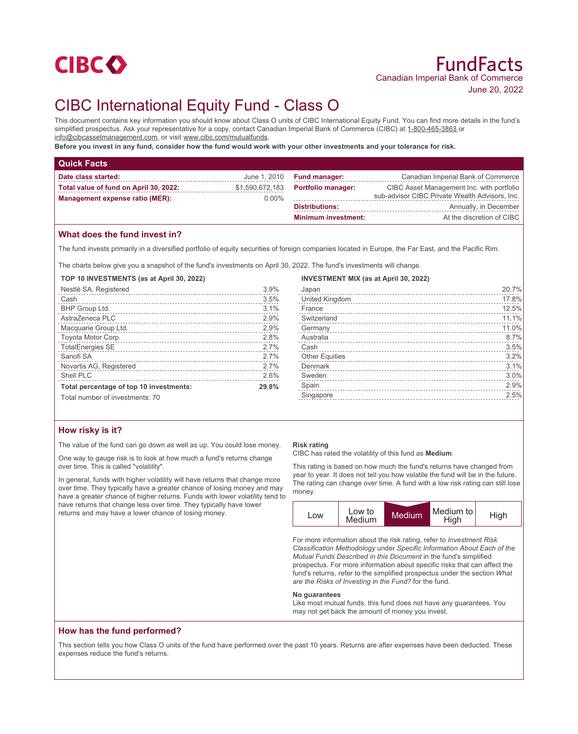

# CIBC International Equity Fund - Class O

This document contains key information you should know about Class O units of CIBC International Equity Fund. You can find more details in the fund's simplified prospectus. Ask your representative for a copy, contact Canadian Imperial Bank of Commerce (CIBC) at 1-800-465-3863 or info@cibcassetmanagement.com, or visit www.cibc.com/mutualfunds.

**Before you invest in any fund, consider how the fund would work with your other investments and your tolerance for risk.**

| <b>Quick Facts</b>                                                        |                             |                            |                                                                                             |
|---------------------------------------------------------------------------|-----------------------------|----------------------------|---------------------------------------------------------------------------------------------|
| Date class started:                                                       | June 1, 2010                | <b>Fund manager:</b>       | Canadian Imperial Bank of Commerce                                                          |
| Total value of fund on April 30, 2022:<br>Management expense ratio (MER): | \$1,590,672,183<br>$0.00\%$ | <b>Portfolio manager:</b>  | CIBC Asset Management Inc. with portfolio<br>sub-advisor CIBC Private Wealth Advisors, Inc. |
|                                                                           |                             | <b>Distributions:</b>      | Annually, in December                                                                       |
|                                                                           |                             | <b>Minimum investment:</b> | At the discretion of CIBC                                                                   |
|                                                                           |                             |                            |                                                                                             |

## **What does the fund invest in?**

The fund invests primarily in a diversified portfolio of equity securities of foreign companies located in Europe, the Far East, and the Pacific Rim.

The charts below give you a snapshot of the fund's investments on April 30, 2022. The fund's investments will change.

**TOP 10 INVESTMENTS (as at April 30, 2022)**

| Nestlé SA, Registered                   | 3.9% |
|-----------------------------------------|------|
| Cash                                    | 3.5% |
| BHP Group Ltd.                          | 3.1% |
| AstraZeneca PLC                         | 2.9% |
| Macquarie Group Ltd.                    | 2.9% |
| Toyota Motor Corp.                      | 2.8% |
| <b>TotalEnergies SE</b>                 | 2.7% |
| Sanofi SA                               | 2.7% |
| Novartis AG, Registered                 | 2.7% |
| Shell PLC                               | 2.6% |
| Total percentage of top 10 investments: |      |
| Total number of investments: 70         |      |

## **How risky is it?**

The value of the fund can go down as well as up. You could lose money.

One way to gauge risk is to look at how much a fund's returns change over time. This is called "volatility".

In general, funds with higher volatility will have returns that change more over time. They typically have a greater chance of losing money and may have a greater chance of higher returns. Funds with lower volatility tend to have returns that change less over time. They typically have lower returns and may have a lower chance of losing money.

#### **Risk rating**

CIBC has rated the volatility of this fund as **Medium**.

This rating is based on how much the fund's returns have changed from year to year. It does not tell you how volatile the fund will be in the future. The rating can change over time. A fund with a low risk rating can still lose money.

| LOW | Low to<br>Medium | Medium | Medium to  <br>High | High |
|-----|------------------|--------|---------------------|------|

For more information about the risk rating, refer to *Investment Risk Classification Methodology* under *Specific Information About Each of the Mutual Funds Described in this Document* in the fund's simplified prospectus. For more information about specific risks that can affect the fund's returns, refer to the simplified prospectus under the section *What are the Risks of Investing in the Fund?* for the fund.

#### **No guarantees**

Like most mutual funds, this fund does not have any guarantees. You may not get back the amount of money you invest.

## **How has the fund performed?**

This section tells you how Class O units of the fund have performed over the past 10 years. Returns are after expenses have been deducted. These expenses reduce the fund's returns.

| <b>INVESTMENT MIX (as at April 30, 2022)</b> |  |
|----------------------------------------------|--|
| Japan                                        |  |

| Japan                                                                                                                                                                                                                            | 20.7% |
|----------------------------------------------------------------------------------------------------------------------------------------------------------------------------------------------------------------------------------|-------|
| United Kingdom                                                                                                                                                                                                                   | 17.8% |
| France                                                                                                                                                                                                                           | 12.5% |
| Switzerland                                                                                                                                                                                                                      | 11.1% |
| Germany                                                                                                                                                                                                                          | 11.0% |
| Australia                                                                                                                                                                                                                        | 8.7%  |
| Cash                                                                                                                                                                                                                             | 3.5%  |
| Other Equities<br>expansion of the contract of the contract of the contract of the contract of the contract of the contract of the contract of the contract of the contract of the contract of the contract of the contract of t | 3.2%  |
| <b>Denmark</b>                                                                                                                                                                                                                   | 3.1%  |
| Sweden                                                                                                                                                                                                                           | 3.0%  |
| Spain                                                                                                                                                                                                                            | 2.9%  |
| Singapore                                                                                                                                                                                                                        | 2.5%  |
|                                                                                                                                                                                                                                  |       |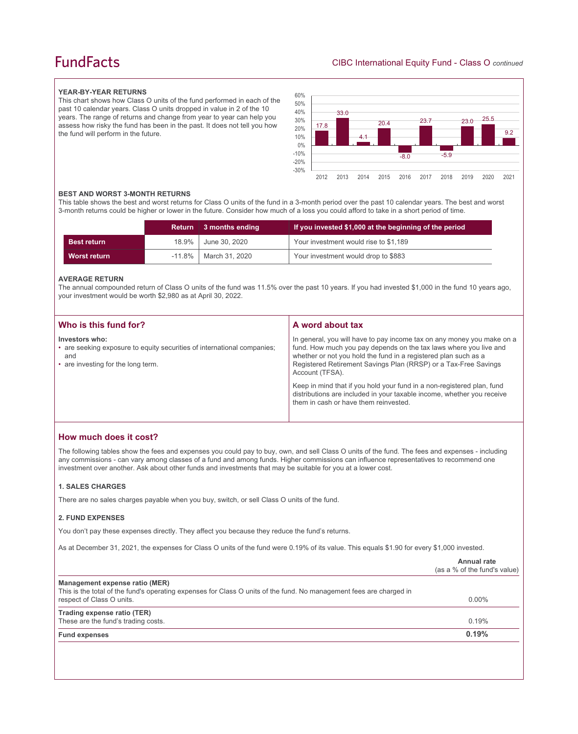## **FundFacts**

## **YEAR-BY-YEAR RETURNS**

This chart shows how Class O units of the fund performed in each of the past 10 calendar years. Class O units dropped in value in 2 of the 10 years. The range of returns and change from year to year can help you assess how risky the fund has been in the past. It does not tell you how the fund will perform in the future.



#### **BEST AND WORST 3-MONTH RETURNS**

This table shows the best and worst returns for Class O units of the fund in a 3-month period over the past 10 calendar years. The best and worst 3-month returns could be higher or lower in the future. Consider how much of a loss you could afford to take in a short period of time.

|                     | <b>Return</b> | 3 months ending | If you invested \$1,000 at the beginning of the period |
|---------------------|---------------|-----------------|--------------------------------------------------------|
| <b>Best return</b>  | 18.9%         | June 30, 2020   | Your investment would rise to \$1,189                  |
| <b>Worst return</b> | $-11.8\%$     | March 31, 2020  | Your investment would drop to \$883                    |

#### **AVERAGE RETURN**

The annual compounded return of Class O units of the fund was 11.5% over the past 10 years. If you had invested \$1,000 in the fund 10 years ago, your investment would be worth \$2,980 as at April 30, 2022.

| Who is this fund for?                                                                                                                  | A word about tax                                                                                                                                                                                                                                                                                     |
|----------------------------------------------------------------------------------------------------------------------------------------|------------------------------------------------------------------------------------------------------------------------------------------------------------------------------------------------------------------------------------------------------------------------------------------------------|
| Investors who:<br>• are seeking exposure to equity securities of international companies;<br>and<br>• are investing for the long term. | In general, you will have to pay income tax on any money you make on a<br>fund. How much you pay depends on the tax laws where you live and<br>whether or not you hold the fund in a registered plan such as a<br>Registered Retirement Savings Plan (RRSP) or a Tax-Free Savings<br>Account (TFSA). |
|                                                                                                                                        | Keep in mind that if you hold your fund in a non-registered plan, fund<br>distributions are included in your taxable income, whether you receive<br>them in cash or have them reinvested.                                                                                                            |

## **How much does it cost?**

The following tables show the fees and expenses you could pay to buy, own, and sell Class O units of the fund. The fees and expenses - including any commissions - can vary among classes of a fund and among funds. Higher commissions can influence representatives to recommend one investment over another. Ask about other funds and investments that may be suitable for you at a lower cost.

#### **1. SALES CHARGES**

There are no sales charges payable when you buy, switch, or sell Class O units of the fund.

#### **2. FUND EXPENSES**

You don't pay these expenses directly. They affect you because they reduce the fund's returns.

As at December 31, 2021, the expenses for Class O units of the fund were 0.19% of its value. This equals \$1.90 for every \$1,000 invested.

|                                                                                                                                                                                    | Annual rate<br>(as a % of the fund's value) |
|------------------------------------------------------------------------------------------------------------------------------------------------------------------------------------|---------------------------------------------|
| Management expense ratio (MER)<br>This is the total of the fund's operating expenses for Class O units of the fund. No management fees are charged in<br>respect of Class O units. | $0.00\%$                                    |
| Trading expense ratio (TER)<br>These are the fund's trading costs.                                                                                                                 | 0.19%                                       |
| <b>Fund expenses</b>                                                                                                                                                               | 0.19%                                       |